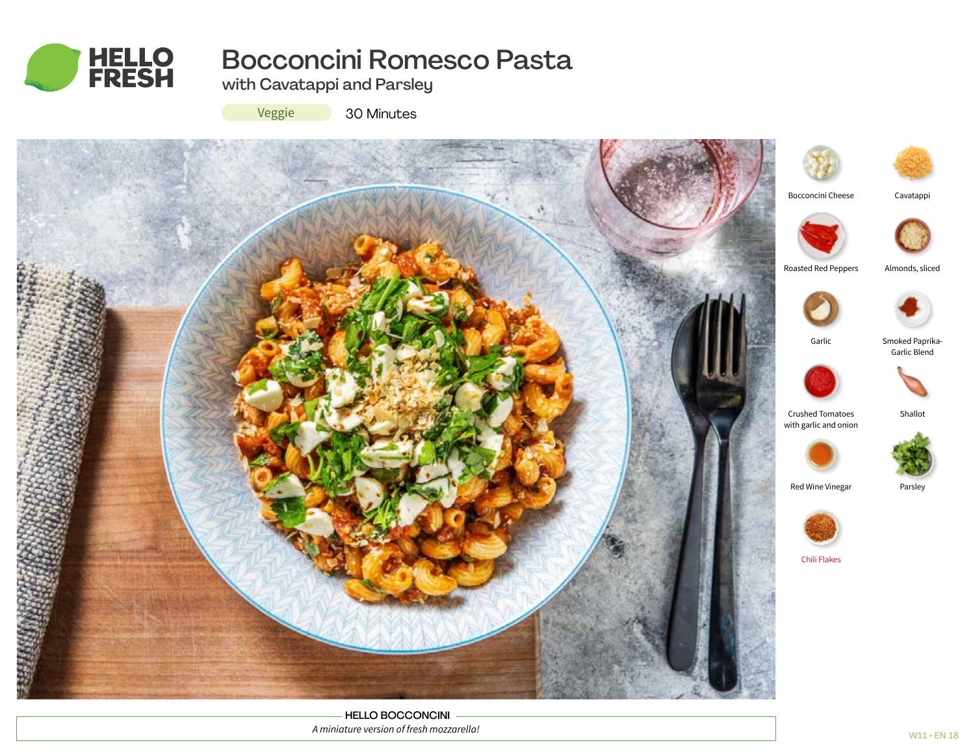

# Bocconcini Romesco Pasta

with Cavatappi and Parsley

Veggie

30 Minutes



HELLO BOCCONCINI *A miniature version of fresh mozzarella!*